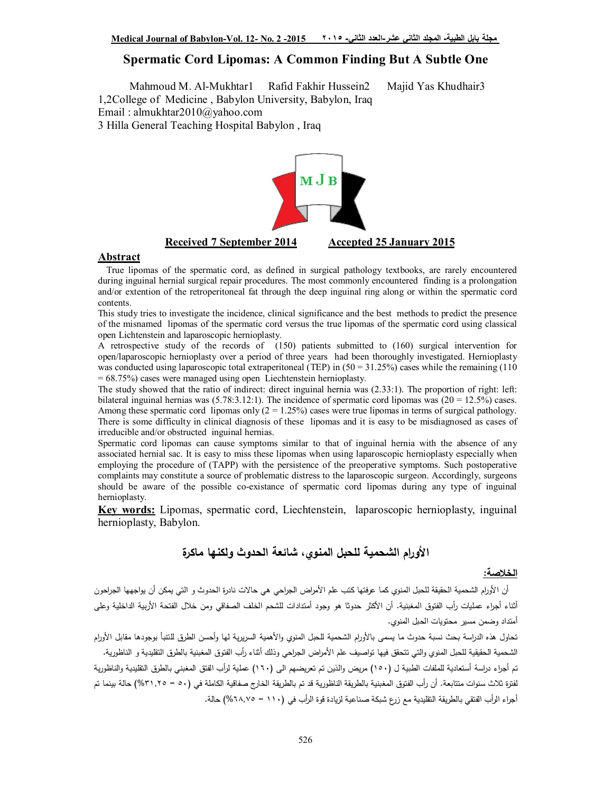#### **Spermatic Cord Lipomas: A Common Finding But A Subtle One**

Mahmoud M. Al-Mukhtar1 Rafid Fakhir Hussein2 Majid Yas Khudhair3 1,2College of Medicine , Babylon University, Babylon, Iraq Email : almukhtar2010@yahoo.com

3 Hilla General Teaching Hospital Babylon , Iraq



#### **Abstract**

True lipomas of the spermatic cord, as defined in surgical pathology textbooks, are rarely encountered during inguinal hernial surgical repair procedures. The most commonly encountered finding is a prolongation and/or extention of the retroperitoneal fat through the deep inguinal ring along or within the spermatic cord contents.

This study tries to investigate the incidence, clinical significance and the best methods to predict the presence of the misnamed lipomas of the spermatic cord versus the true lipomas of the spermatic cord using classical open Lichtenstein and laparoscopic hernioplasty.

A retrospective study of the records of (150) patients submitted to (160) surgical intervention for open/laparoscopic hernioplasty over a period of three years had been thoroughly investigated. Hernioplasty was conducted using laparoscopic total extraperitoneal (TEP) in  $(50 = 31.25%)$  cases while the remaining (110) = 68.75%) cases were managed using open Liechtenstein hernioplasty.

The study showed that the ratio of indirect: direct inguinal hernia was (2.33:1). The proportion of right: left: bilateral inguinal hernias was  $(5.78:3.12:1)$ . The incidence of spermatic cord lipomas was  $(20 = 12.5%)$  cases. Among these spermatic cord lipomas only  $(2 = 1.25\%)$  cases were true lipomas in terms of surgical pathology. There is some difficulty in clinical diagnosis of these lipomas and it is easy to be misdiagnosed as cases of irreducible and/or obstructed inguinal hernias.

Spermatic cord lipomas can cause symptoms similar to that of inguinal hernia with the absence of any associated hernial sac. It is easy to miss these lipomas when using laparoscopic hernioplasty especially when employing the procedure of (TAPP) with the persistence of the preoperative symptoms. Such postoperative complaints may constitute a source of problematic distress to the laparoscopic surgeon. Accordingly, surgeons should be aware of the possible co-existance of spermatic cord lipomas during any type of inguinal hernioplasty.

**Key words:** Lipomas, spermatic cord, Liechtenstein, laparoscopic hernioplasty, inguinal hernioplasty, Babylon.

### **الأورام الشحمیة للحبل المنوي، شائعة الحدوث ولكنها ماكرة**

#### **الخلاصة:**

أن الأورام الشحمية الحقيقة للحبل المنوي كما عرفتها كتب علم الأمراض الجراحي هي حالات نادرة الحدوث و التي يمكن أن يواجهها الجراحون أثناء أجراء عمليات رأب الفتوق المغبنية. أن الأكثر حدوثا هو وجود أمتدادات للشحم الخلف الصفاقي ومن خلال الفتحة الأربية الداخلية وعلى أمتداد وضمن مسیر محتویات الحبل المنوي.

تحاول هذه الدراسة بحث نسبة حدوث ما يسمى بالأورام الشحمیة للحبل المنوي والأهمیة السریریة لمها وأحسن الطرق للتنبأ بوجودها مقابل الأورام الشحمیة الحقیقیة للحبل المنوي والتي تتحقق فیها تواصیف علم الأمراض الجراحي وذلك أثناء رأب الفتوق المغبنیة بالطرق التقلیدیة و الناظوریة. تم أجراء دراسة أستعادیة للملفات الطبیة ل (١٥٠) مریض والذین تم تعریضهم الى (١٦٠) عملیة لرأب الفتق المغبني بالطرق التقلیدیة والناظوریة لفترة ثلاث سنوات متتابعة. أن أرب الفتوق المغبنیة بالطریقة الناظوریة قد تم بالطریقة الخارج صفاقیة الكاملة في (٥٠ = %٣١,٢٥) حالة بینما تم أجراء الرأب الفتقي بالطريقة التقليدية مع زرع شبكة صناعية لزيادة قوة الرأب في (١١٠ = ٢٨,٧٥%) حالة.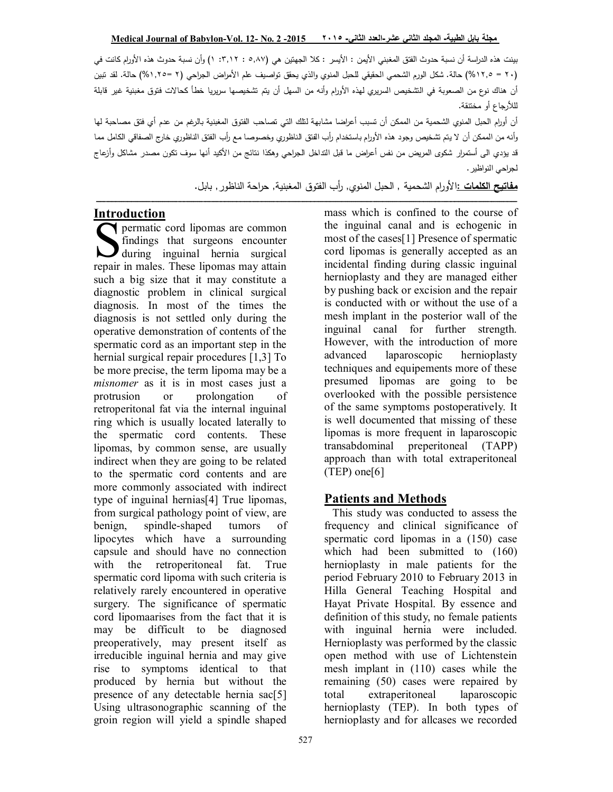بینت هذه الد ارسة أن نسبة حدوث الفتق المغبني الأیمن **:** الأیسر **:** كلا الجهتین هي (٥,٨٧ **: :**٣,١٢ ١) وأن نسبة حدوث هذه الأو ارم كانت في (٢٠ = 1٢,٥%) حالة. شكل الورم الشحمي الحقيقي للحبل المنوي والذي يحقق تواصيف علم الأمراض الجراحي (٢ = 1,٢٥%) حالة. لقد تبين أن هناك نوع من الصعوبة في التشخیص السریري لهذه الأورام وأنه من السهل أن بتم تشخیصها سریریا خطأ كحالات فتوق مغبنیة غیر قابلة لللأرجاع أو مختنقة.

.<br>أن أورام الحبل المنوي الشحمیة من الممكن أن تسبب أعراضا مشابهة لتلك التي تصاحب الفتوق المغبنیة بالرغم من عدم أي فتق مصاحبة لها وأنه من الممكن أن لا يتم تشخيص وجود هذه الأورام باستخدام رأب الفتق الناظوري وخصوصا مع رأب الفتق الناظوري خارج الصفاقي الكامل مما قد یؤدي الى أستمرار شكوى المریض من نفس أعراض ما قبل التداخل الجراحي وهكذا نتائج من الأكید أنها سوف تكون مصدر مشاكل وأزعاج لج ارحي النواظیر.

**مفاتیح الكلمات :**الأو ارم الشحمیة , الحبل المنوي, أرب الفتوق المغبنیة, ح ارحة الناظور, بابل.

#### **Introduction**

**S** permatic cord lipomas are common<br>
findings that surgeons encounter<br>
during inguinal hernia surgical<br>
renair in males These linomas may attain findings that surgeons encounter during inguinal hernia surgical repair in males. These lipomas may attain such a big size that it may constitute a diagnostic problem in clinical surgical diagnosis. In most of the times the diagnosis is not settled only during the operative demonstration of contents of the spermatic cord as an important step in the hernial surgical repair procedures [1,3] To be more precise, the term lipoma may be a *misnomer* as it is in most cases just a protrusion or prolongation of retroperitonal fat via the internal inguinal ring which is usually located laterally to the spermatic cord contents. These lipomas, by common sense, are usually indirect when they are going to be related to the spermatic cord contents and are more commonly associated with indirect type of inguinal hernias[4] True lipomas, from surgical pathology point of view, are benign, spindle-shaped tumors of lipocytes which have a surrounding capsule and should have no connection with the retroperitoneal fat. True spermatic cord lipoma with such criteria is relatively rarely encountered in operative surgery. The significance of spermatic cord lipomaarises from the fact that it is may be difficult to be diagnosed preoperatively, may present itself as irreducible inguinal hernia and may give rise to symptoms identical to that produced by hernia but without the presence of any detectable hernia sac[5] Using ultrasonographic scanning of the groin region will yield a spindle shaped

ــــــــــــــــــــــــــــــــــــــــــــــــــــــــــــــــــــــــــــــــــــــــــــــــــــــــــــــــــــــــــــــــــــــــــــــــــــــــــــــــــــــــــــــــــــــــــــــــــــــــــــــــــــــــ mass which is confined to the course of the inguinal canal and is echogenic in most of the cases[1] Presence of spermatic cord lipomas is generally accepted as an incidental finding during classic inguinal hernioplasty and they are managed either by pushing back or excision and the repair is conducted with or without the use of a mesh implant in the posterior wall of the inguinal canal for further strength. However, with the introduction of more advanced laparoscopic hernioplasty techniques and equipements more of these presumed lipomas are going to be overlooked with the possible persistence of the same symptoms postoperatively. It is well documented that missing of these lipomas is more frequent in laparoscopic transabdominal preperitoneal (TAPP) approach than with total extraperitoneal  $(TEP)$  one[6]

### **Patients and Methods**

This study was conducted to assess the frequency and clinical significance of spermatic cord lipomas in a  $(150)$  case which had been submitted to  $(160)$ hernioplasty in male patients for the period February 2010 to February 2013 in Hilla General Teaching Hospital and Hayat Private Hospital. By essence and definition of this study, no female patients with inguinal hernia were included. Hernioplasty was performed by the classic open method with use of Lichtenstein mesh implant in (110) cases while the remaining (50) cases were repaired by total extraperitoneal laparoscopic hernioplasty (TEP). In both types of hernioplasty and for allcases we recorded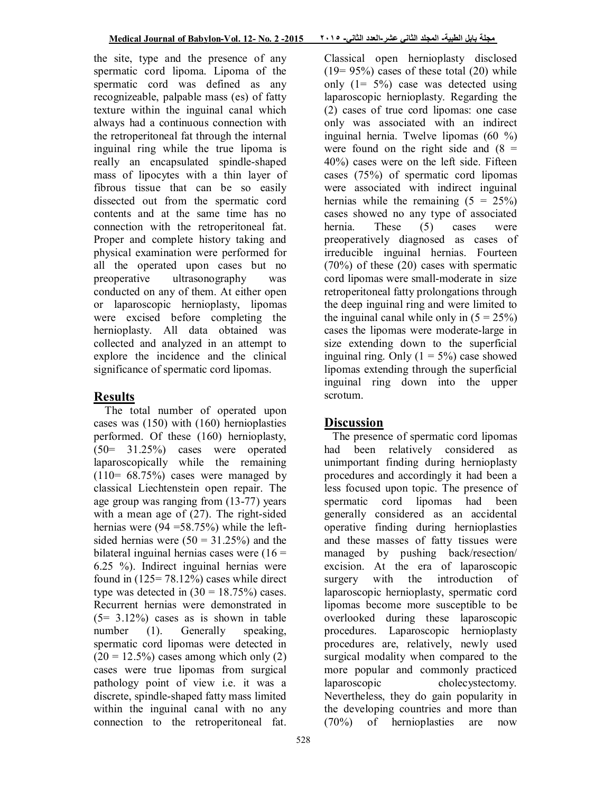the site, type and the presence of any spermatic cord lipoma. Lipoma of the spermatic cord was defined as any recognizeable, palpable mass (es) of fatty texture within the inguinal canal which always had a continuous connection with the retroperitoneal fat through the internal inguinal ring while the true lipoma is really an encapsulated spindle-shaped mass of lipocytes with a thin layer of fibrous tissue that can be so easily dissected out from the spermatic cord contents and at the same time has no connection with the retroperitoneal fat. Proper and complete history taking and physical examination were performed for all the operated upon cases but no preoperative ultrasonography was conducted on any of them. At either open or laparoscopic hernioplasty, lipomas were excised before completing the hernioplasty. All data obtained was collected and analyzed in an attempt to explore the incidence and the clinical significance of spermatic cord lipomas.

### **Results**

The total number of operated upon cases was (150) with (160) hernioplasties performed. Of these (160) hernioplasty, (50= 31.25%) cases were operated laparoscopically while the remaining  $(110= 68.75%)$  cases were managed by classical Liechtenstein open repair. The age group was ranging from (13-77) years with a mean age of (27). The right-sided hernias were (94 = 58.75%) while the leftsided hernias were  $(50 = 31.25%)$  and the bilateral inguinal hernias cases were  $(16 =$ 6.25 %). Indirect inguinal hernias were found in  $(125=78.12\%)$  cases while direct type was detected in  $(30 = 18.75%)$  cases. Recurrent hernias were demonstrated in  $(5=3.12\%)$  cases as is shown in table number (1). Generally speaking, spermatic cord lipomas were detected in  $(20 = 12.5\%)$  cases among which only  $(2)$ cases were true lipomas from surgical pathology point of view i.e. it was a discrete, spindle-shaped fatty mass limited within the inguinal canal with no any connection to the retroperitoneal fat.

Classical open hernioplasty disclosed  $(19=95%)$  cases of these total  $(20)$  while only  $(1= 5\%)$  case was detected using laparoscopic hernioplasty. Regarding the (2) cases of true cord lipomas: one case only was associated with an indirect inguinal hernia. Twelve lipomas (60 %) were found on the right side and  $(8 =$ 40%) cases were on the left side. Fifteen cases (75%) of spermatic cord lipomas were associated with indirect inguinal hernias while the remaining  $(5 = 25\%)$ cases showed no any type of associated hernia. These (5) cases were preoperatively diagnosed as cases of irreducible inguinal hernias. Fourteen (70%) of these (20) cases with spermatic cord lipomas were small-moderate in size retroperitoneal fatty prolongations through the deep inguinal ring and were limited to the inguinal canal while only in  $(5 = 25\%)$ cases the lipomas were moderate-large in size extending down to the superficial inguinal ring. Only  $(1 = 5\%)$  case showed lipomas extending through the superficial inguinal ring down into the upper scrotum.

# **Discussion**

The presence of spermatic cord lipomas had been relatively considered as unimportant finding during hernioplasty procedures and accordingly it had been a less focused upon topic. The presence of spermatic cord lipomas had been generally considered as an accidental operative finding during hernioplasties and these masses of fatty tissues were managed by pushing back/resection/ excision. At the era of laparoscopic surgery with the introduction of laparoscopic hernioplasty, spermatic cord lipomas become more susceptible to be overlooked during these laparoscopic procedures. Laparoscopic hernioplasty procedures are, relatively, newly used surgical modality when compared to the more popular and commonly practiced laparoscopic cholecystectomy. Nevertheless, they do gain popularity in the developing countries and more than (70%) of hernioplasties are now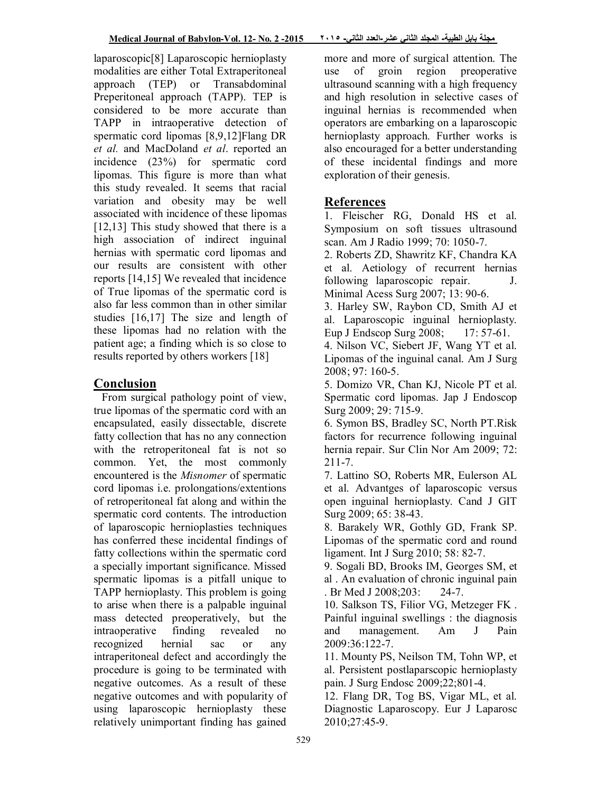laparoscopic[8] Laparoscopic hernioplasty modalities are either Total Extraperitoneal approach (TEP) or Transabdominal Preperitoneal approach (TAPP). TEP is considered to be more accurate than TAPP in intraoperative detection of spermatic cord lipomas [8,9,12]Flang DR *et al.* and MacDoland *et al*. reported an incidence (23%) for spermatic cord lipomas. This figure is more than what this study revealed. It seems that racial variation and obesity may be well associated with incidence of these lipomas [12,13] This study showed that there is a high association of indirect inguinal hernias with spermatic cord lipomas and our results are consistent with other reports [14,15] We revealed that incidence of True lipomas of the spermatic cord is also far less common than in other similar studies [16,17] The size and length of these lipomas had no relation with the patient age; a finding which is so close to results reported by others workers [18]

### **Conclusion**

From surgical pathology point of view, true lipomas of the spermatic cord with an encapsulated, easily dissectable, discrete fatty collection that has no any connection with the retroperitoneal fat is not so common. Yet, the most commonly encountered is the *Misnomer* of spermatic cord lipomas i.e. prolongations/extentions of retroperitoneal fat along and within the spermatic cord contents. The introduction of laparoscopic hernioplasties techniques has conferred these incidental findings of fatty collections within the spermatic cord a specially important significance. Missed spermatic lipomas is a pitfall unique to TAPP hernioplasty. This problem is going to arise when there is a palpable inguinal mass detected preoperatively, but the intraoperative finding revealed no recognized hernial sac or any intraperitoneal defect and accordingly the procedure is going to be terminated with negative outcomes. As a result of these negative outcomes and with popularity of using laparoscopic hernioplasty these relatively unimportant finding has gained

more and more of surgical attention. The use of groin region preoperative ultrasound scanning with a high frequency and high resolution in selective cases of inguinal hernias is recommended when operators are embarking on a laparoscopic hernioplasty approach. Further works is also encouraged for a better understanding of these incidental findings and more exploration of their genesis.

## **References**

1. Fleischer RG, Donald HS et al. Symposium on soft tissues ultrasound scan. Am J Radio 1999; 70: 1050-7.

2. Roberts ZD, Shawritz KF, Chandra KA et al. Aetiology of recurrent hernias following laparoscopic repair. J. Minimal Acess Surg 2007; 13: 90-6.

3. Harley SW, Raybon CD, Smith AJ et al. Laparoscopic inguinal hernioplasty. Eup J Endscop Surg 2008; 17: 57-61.

4. Nilson VC, Siebert JF, Wang YT et al. Lipomas of the inguinal canal. Am J Surg 2008; 97: 160-5.

5. Domizo VR, Chan KJ, Nicole PT et al. Spermatic cord lipomas. Jap J Endoscop Surg 2009; 29: 715-9.

6. Symon BS, Bradley SC, North PT.Risk factors for recurrence following inguinal hernia repair. Sur Clin Nor Am 2009; 72: 211-7.

7. Lattino SO, Roberts MR, Eulerson AL et al. Advantges of laparoscopic versus open inguinal hernioplasty. Cand J GIT Surg 2009; 65: 38-43.

8. Barakely WR, Gothly GD, Frank SP. Lipomas of the spermatic cord and round ligament. Int J Surg 2010; 58: 82-7.

9. Sogali BD, Brooks IM, Georges SM, et al . An evaluation of chronic inguinal pain . Br Med J 2008;203: 24-7.

10. Salkson TS, Filior VG, Metzeger FK . Painful inguinal swellings : the diagnosis and management. Am J Pain 2009:36:122-7.

11. Mounty PS, Neilson TM, Tohn WP, et al. Persistent postlaparscopic hernioplasty pain. J Surg Endosc 2009;22;801-4.

12. Flang DR, Tog BS, Vigar ML, et al. Diagnostic Laparoscopy. Eur J Laparosc 2010;27:45-9.